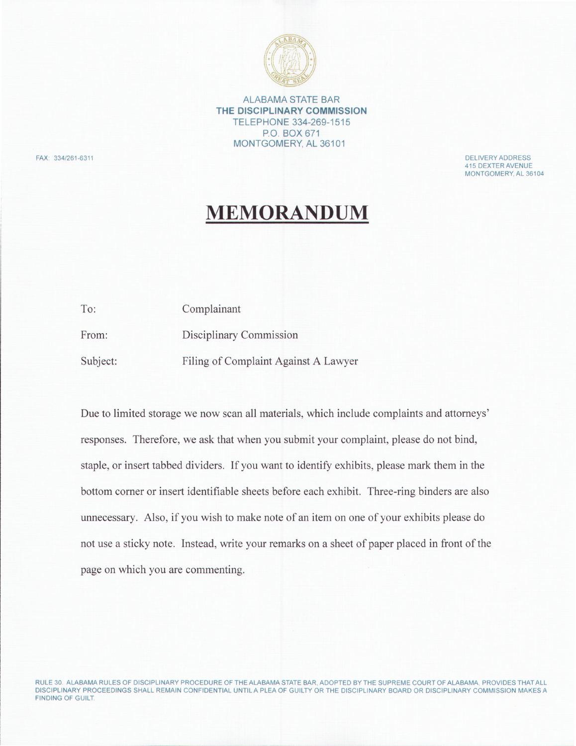

ALABAMA STATE BAR **THE DISCIPLINARY COMMISSION**  TELEPHONE 334-269-1515 P.O. BOX 671 MONTGOMERY, AL 36101

FAX: 334/261-6311 DELIVERY ADDRESS

415 DEXTER AVENUE MONTGOMERY. AL 36104

# MEMORANDUM

| To:      | Complainant                          |  |
|----------|--------------------------------------|--|
| From:    | Disciplinary Commission              |  |
| Subject: | Filing of Complaint Against A Lawyer |  |

Due to limited storage we now scan all materials, which include complaints and attorneys' responses. Therefore, we ask that when you submit your complaint, please do not bind, staple, or insert tabbed dividers. If you want to identify exhibits, please mark them in the bottom corner or insert identifiable sheets before each exhibit. Three-ring binders are also unnecessary. Also, if you wish to make note of an item on one of your exhibits please do not use a sticky note. Instead, write your remarks on a sheet of paper placed in front of the page on which you are commenting.

RULE 30 ALABAMA RULES OF DISCIPLINARY PROCEDURE OF THE ALABAMA STATE BAR, ADOPTED BY THE SUPREME COURT OF ALABAMA. PROVIDES THATALL DISCIPLINARY PROCEEDINGS SHALL REMAIN CONFIDENTIAL UNTIL A PLEA OF GUILTY OR THE DISCIPLINARY BOARD OR DISCIPLINARY COMMISSION MAKES A FINDING OF GUILT.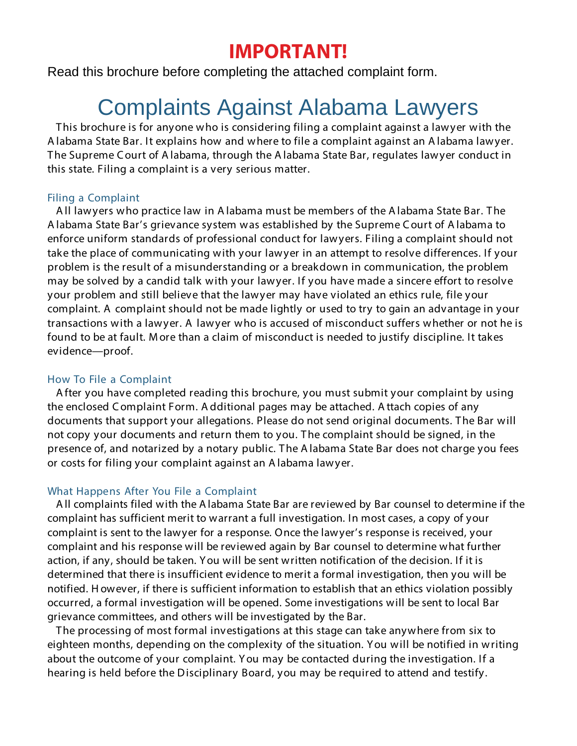# **IMPORTANT!**

Read this brochure before completing the attached complaint form.

# Complaints Against Alabama Lawyers

T his brochure is for anyone who is considering filing a complaint against a lawyer with the A labama State Bar. It explains how and where to file a complaint against an A labama lawyer. The Supreme Court of A labama, through the A labama State Bar, regulates lawyer conduct in this state. Filing a complaint is a very serious matter.

# Filing a Complaint

A ll lawyers who practice law in A labama must be members of the A labama State Bar. T he A labama State Bar's grievance system was established by the Supreme C ourt of A labama to enforce uniform standards of professional conduct for lawyers. Filing a complaint should not take the place of communicating with your lawyer in an attempt to resolve differences. If your problem is the result of a misunderstanding or a breakdown in communication, the problem may be solved by a candid talk with your lawyer. If you have made a sincere effort to resolve your problem and still believe that the lawyer may have violated an ethics rule, file your complaint. A complaint should not be made lightly or used to try to gain an advantage in your transactions with a lawyer. A lawyer who is accused of misconduct suffers whether or not he is found to be at fault. M ore than a claim of misconduct is needed to justify discipline. It takes evidence—proof.

# How To File a Complaint

A fter you have completed reading this brochure, you must submit your complaint by using the enclosed C omplaint Form. A dditional pages may be attached. A ttach copies of any documents that support your allegations. Please do not send original documents. T he Bar will not copy your documents and return them to you. T he complaint should be signed, in the presence of, and notarized by a notary public. T he A labama State Bar does not charge you fees or costs for filing your complaint against an A labama lawyer.

## What Happens After You File a Complaint

A ll complaints filed with the A labama State Bar are reviewed by Bar counsel to determine if the complaint has sufficient merit to warrant a full investigation. In most cases, a copy of your complaint is sent to the lawyer for a response. Once the lawyer's response is received, your complaint and his response will be reviewed again by Bar counsel to determine what further action, if any, should be taken. Y ou will be sent written notification of the decision. If it is determined that there is insufficient evidence to merit a formal investigation, then you will be notified. H owever, if there is sufficient information to establish that an ethics violation possibly occurred, a formal investigation will be opened. Some investigations will be sent to local Bar grievance committees, and others will be investigated by the Bar.

T he processing of most formal investigations at this stage can take anywhere from six to eighteen months, depending on the complexity of the situation. Y ou will be notified in writing about the outcome of your complaint. Y ou may be contacted during the investigation. If a hearing is held before the Disciplinary Board, you may be required to attend and testify.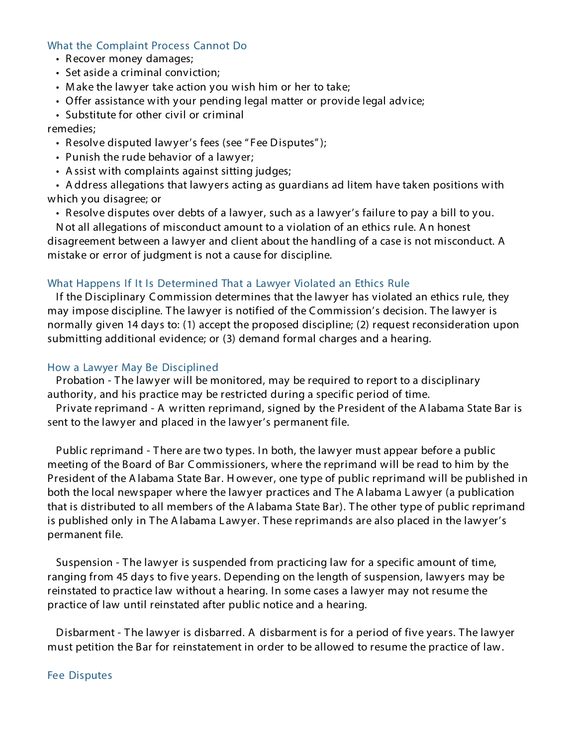#### What the Complaint Process Cannot Do

- R ecover money damages;
- Set aside a criminal conviction;
- M ake the lawyer take action you wish him or her to take;
- Offer assistance with your pending legal matter or provide legal advice;
- Substitute for other civil or criminal

remedies;

- Resolve disputed lawyer's fees (see "Fee Disputes");
- Punish the rude behavior of a lawyer;
- A ssist with complaints against sitting judges;

• A ddress allegations that lawyers acting as guardians ad litem have taken positions with which you disagree; or

• R esolve disputes over debts of a lawyer, such as a lawyer's failure to pay a bill to you.

N ot all allegations of misconduct amount to a violation of an ethics rule. A n honest disagreement between a lawyer and client about the handling of a case is not misconduct. A mistake or error of judgment is not a cause for discipline.

#### What Happens If It Is Determined That a Lawyer Violated an Ethics Rule

If the Disciplinary Commission determines that the lawyer has violated an ethics rule, they may impose discipline. T he lawyer is notified of the C ommission's decision. T he lawyer is normally given 14 days to: (1) accept the proposed discipline; (2) request reconsideration upon submitting additional evidence; or (3) demand formal charges and a hearing.

#### How a Lawyer May Be Disciplined

Probation - The lawyer will be monitored, may be required to report to a disciplinary authority, and his practice may be restricted during a specific period of time.

Private reprimand - A written reprimand, signed by the President of the A labama State Bar is sent to the lawyer and placed in the lawyer's permanent file.

Public reprimand - T here are two types. In both, the lawyer must appear before a public meeting of the Board of Bar C ommissioners, where the reprimand will be read to him by the President of the A labama State Bar. H owever, one type of public reprimand will be published in both the local newspaper where the lawyer practices and T he A labama L awyer (a publication that is distributed to all members of the A labama State Bar). T he other type of public reprimand is published only in The A labama Lawyer. These reprimands are also placed in the lawyer's permanent file.

Suspension - The lawyer is suspended from practicing law for a specific amount of time, ranging from 45 days to five years. Depending on the length of suspension, lawyers may be reinstated to practice law without a hearing. In some cases a lawyer may not resume the practice of law until reinstated after public notice and a hearing.

Disbarment - The lawyer is disbarred. A disbarment is for a period of five years. The lawyer must petition the Bar for reinstatement in order to be allowed to resume the practice of law.

#### Fee Disputes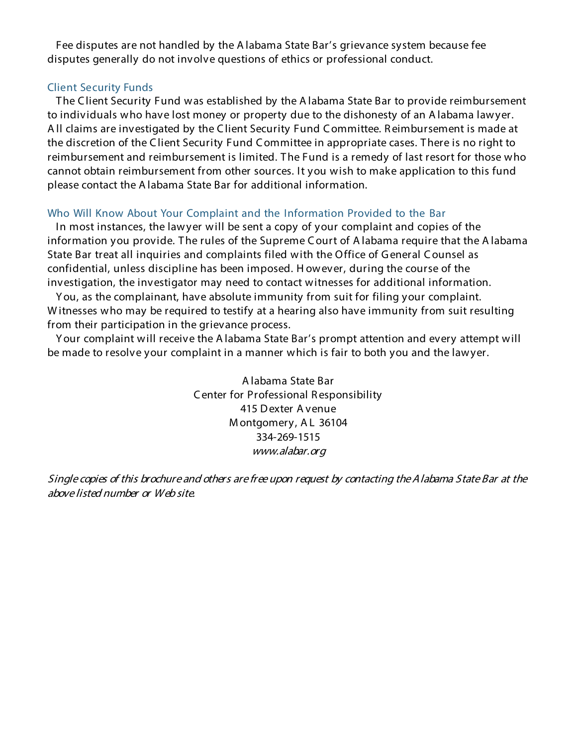Fee disputes are not handled by the A labama State Bar's grievance system because fee disputes generally do not involve questions of ethics or professional conduct.

# Client Security Funds

T he C lient Security Fund was established by the A labama State Bar to provide reimbursement to individuals who have lost money or property due to the dishonesty of an A labama lawyer. A ll claims are investigated by the C lient Security Fund C ommittee. R eimbursement is made at the discretion of the C lient Security Fund C ommittee in appropriate cases. T here is no right to reimbursement and reimbursement is limited. T he Fund is a remedy of last resort for those who cannot obtain reimbursement from other sources. It you wish to make application to this fund please contact the A labama State Bar for additional information.

## Who Will Know About Your Complaint and the Information Provided to the Bar

In most instances, the lawyer will be sent a copy of your complaint and copies of the information you provide. The rules of the Supreme Court of A labama require that the A labama State Bar treat all inquiries and complaints filed with the Office of G eneral C ounsel as confidential, unless discipline has been imposed. H owever, during the course of the investigation, the investigator may need to contact witnesses for additional information.

Y ou, as the complainant, have absolute immunity from suit for filing your complaint. W itnesses who may be required to testify at a hearing also have immunity from suit resulting from their participation in the grievance process.

Y our complaint will receive the A labama State Bar's prompt attention and every attempt will be made to resolve your complaint in a manner which is fair to both you and the lawyer.

> A labama State Bar C enter for Professional R esponsibility 415 D exter A venue M ontgomery, A L 36104 334-269-1515 www.alabar.org

Single copies of this brochure and others are free upon request by contacting the Alabama State Bar at the above listed number or Web site.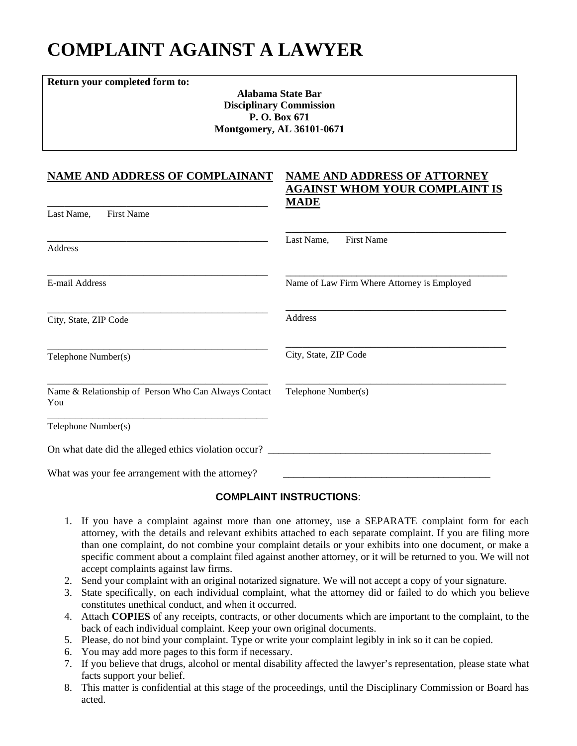# **COMPLAINT AGAINST A LAWYER**

**Return your completed form to:**

**Alabama State Bar Disciplinary Commission P. O. Box 671 Montgomery, AL 36101-0671**

## **NAME AND ADDRESS OF COMPLAINANT**

\_\_\_\_\_\_\_\_\_\_\_\_\_\_\_\_\_\_\_\_\_\_\_\_\_\_\_\_\_\_\_\_\_\_\_\_\_\_\_

#### **NAME AND ADDRESS OF ATTORNEY AGAINST WHOM YOUR COMPLAINT IS MADE**

| Last Name,<br><b>First Name</b>                             |                                             |
|-------------------------------------------------------------|---------------------------------------------|
| Address                                                     | Last Name,<br><b>First Name</b>             |
| E-mail Address                                              | Name of Law Firm Where Attorney is Employed |
| City, State, ZIP Code                                       | Address                                     |
| Telephone Number(s)                                         | City, State, ZIP Code                       |
| Name & Relationship of Person Who Can Always Contact<br>You | Telephone Number(s)                         |
| Telephone Number(s)                                         |                                             |
| On what date did the alleged ethics violation occur? _      |                                             |
| What was your fee arrangement with the attorney?            |                                             |

## **COMPLAINT INSTRUCTIONS**:

- 1. If you have a complaint against more than one attorney, use a SEPARATE complaint form for each attorney, with the details and relevant exhibits attached to each separate complaint. If you are filing more than one complaint, do not combine your complaint details or your exhibits into one document, or make a specific comment about a complaint filed against another attorney, or it will be returned to you. We will not accept complaints against law firms.
- 2. Send your complaint with an original notarized signature. We will not accept a copy of your signature.
- 3. State specifically, on each individual complaint, what the attorney did or failed to do which you believe constitutes unethical conduct, and when it occurred.
- 4. Attach **COPIES** of any receipts, contracts, or other documents which are important to the complaint, to the back of each individual complaint. Keep your own original documents.
- 5. Please, do not bind your complaint. Type or write your complaint legibly in ink so it can be copied.
- 6. You may add more pages to this form if necessary.
- 7. If you believe that drugs, alcohol or mental disability affected the lawyer's representation, please state what facts support your belief.
- 8. This matter is confidential at this stage of the proceedings, until the Disciplinary Commission or Board has acted.